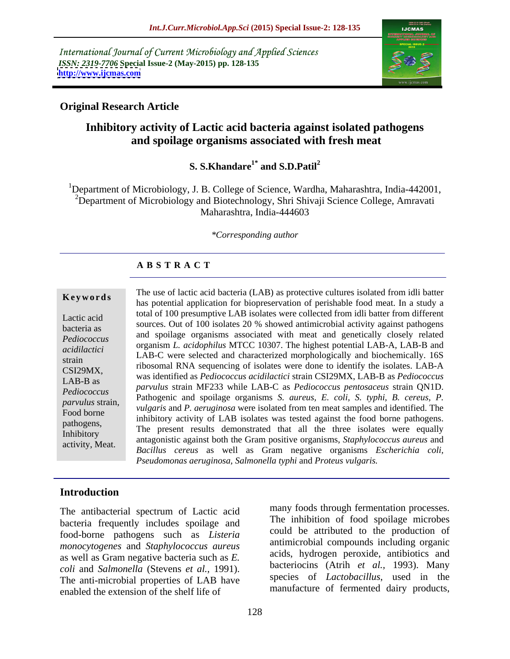International Journal of Current Microbiology and Applied Sciences *ISSN: 2319-7706* **Special Issue-2 (May-2015) pp. 128-135 <http://www.ijcmas.com>**



## **Original Research Article**

## **Inhibitory activity of Lactic acid bacteria against isolated pathogens and spoilage organisms associated with fresh meat**

### **S. S.Khandare1\* and S.D.Patil<sup>2</sup>**

<sup>1</sup>Department of Microbiology, J. B. College of Science, Wardha, Maharashtra, India-442001, <sup>2</sup>Department of Microbiology and Biotechnology, Shri Shivaji Science College, Amravati Maharashtra, India-444603

*\*Corresponding author*

## **A B S T R A C T**

The use of lactic acid bacteria (LAB) as protective cultures isolated from idli batter **Keywords** The use of factic actual bacteria (EAB) as protective curtures isolated from fun batter has potential application for biopreservation of perishable food meat. In a study a total of 100 presumptive LAB isolates were collected from idli batter from different Lactic acid<br>
sources. Out of 100 isolates 20 % showed antimicrobial activity against pathogens and spoilage organisms associated with meat and genetically closely related Pediococcus and sponage organisms associated with theat and generically closely related<br> *acidilactici* organism *L. acidophilus* MTCC 10307. The highest potential LAB-A, LAB-B and LAB-C were selected and characterized morphologically and biochemically. 16S *acidilactici*  Strain<br>CSI200AIX ribosomal RNA sequencing of isolates were done to identify the isolates. LAB-A was identified as *Pediococcus acidilactici* strain CSI29MX, LAB-B as *Pediococcus*  CSI29MX, *parvulus* strain MF233 while LAB-C as *Pediococcus pentosaceus* strain QN1D. LAB-B as Pathogenic and spoilage organisms *S. aureus, E. coli, S. typhi, B. cereus, P. Pediococcus vulgaris* and *P. aeruginosa* were isolated from ten meat samples and identified. The *parvulus* strain, *pulgaris* and *P. aeruginosa* were isolated from ten meat samples and identified. The Food borne<br>inhibitory activity of LAB isolates was tested against the food borne pathogens. pathogens,<br>The present results demonstrated that all the three isolates were equally Inhibitory<br>antagonistic against both the Gram positive organisms, *Staphylococcus aureus* and<br>descriptive Most *Bacillus cereus* as well as Gram negative organisms *Escherichia coli,* activity, Meat.*Pseudomonas aeruginosa, Salmonella typhi* and *Proteus vulgaris.* bacteria as sources. Our or roo isolates 20 % showed antimicrobial activity against pathogens

## **Introduction**

The antibacterial spectrum of Lactic acid bacteria frequently includes spoilage and food-borne pathogens such as *Listeria monocytogenes* and *Staphylococcus aureus* as well as Gram negative bacteria such as *E. coli* and *Salmonella* (Stevens *et al.,* 1991). The anti-microbial properties of LAB have enabled the extension of the shelf life of

many foods through fermentation processes. The inhibition of food spoilage microbes could be attributed to the production of antimicrobial compounds including organic acids, hydrogen peroxide, antibiotics and bacteriocins (Atrih *et al.,* 1993). Many species of *Lactobacillus*, used in the manufacture of fermented dairy products,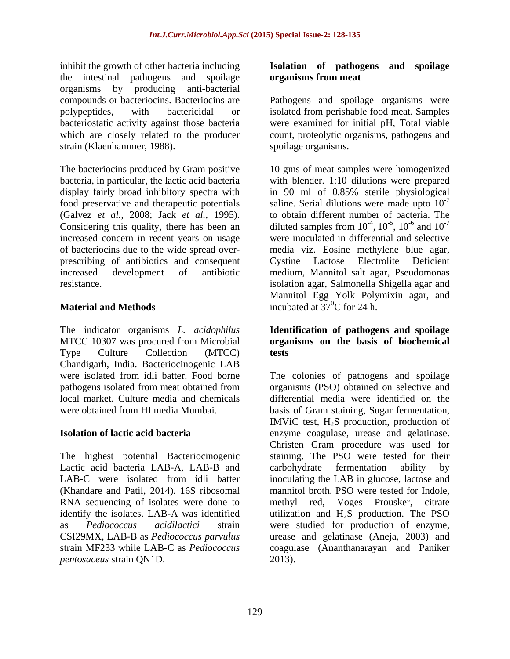inhibit the growth of other bacteria including **Isolation of pathogens and spoilage** the intestinal pathogens and spoilage organisms by producing anti-bacterial compounds or bacteriocins. Bacteriocins are Pathogens and spoilage organisms were polypeptides, with bactericidal or isolated from perishable food meat. Samples bacteriostatic activity against those bacteria which are closely related to the producer count, proteolytic organisms, pathogens and strain (Klaenhammer, 1988).

(Galvez *et al.,* 2008; Jack *et al.,* 1995).

The indicator organisms*L. acidophilus* **Identification of pathogens and spoilage** MTCC 10307 was procured from Microbial **organisms on the basis of biochemical** Type Culture Collection (MTCC) tests Chandigarh, India. Bacteriocinogenic LAB

The highest potential Bacteriocinogenic Lactic acid bacteria LAB-A, LAB-B and carbohydrate fermentation ability by (Khandare and Patil, 2014). 16S ribosomal *pentosaceus* strain QN1D.

## **organisms from meat**

were examined for initial pH, Total viable spoilage organisms.

The bacteriocins produced by Gram positive 10 gms of meat samples were homogenized bacteria, in particular, the lactic acid bacteria with blender. 1:10 dilutions were prepared display fairly broad inhibitory spectra with in 90 ml of 0.85% sterile physiological food preservative and therapeutic potentials saline. Serial dilutions were made upto  $10^{-7}$ Considering this quality, there has been an diluted samples from  $10^{-4}$ ,  $10^{-5}$ ,  $10^{-6}$  and  $10^{-7}$ increased concern in recent years on usage were inoculated in differential and selective of bacteriocins due to the wide spread over- media viz. Eosine methylene blue agar, prescribing of antibiotics and consequent Cystine Lactose Electrolite Deficient increased development of antibiotic medium, Mannitol salt agar, Pseudomonas resistance. isolation agar, Salmonella Shigella agar and **Material and Methods incubated at**  $37^{\circ}$ **C for 24 h.** -7 to obtain different number of bacteria. The  $-4$  10<sup>-5</sup> 10<sup>-6</sup> and 10<sup>-7</sup> ,  $10^{-5}$ ,  $10^{-6}$  and  $10^{-7}$ ,  $10^{-6}$  and  $10^{-7}$  $-6$  and  $10^{-7}$ and  $10^{-7}$ -7 Mannitol Egg Yolk Polymixin agar, and

# **tests**

were isolated from idli batter. Food borne The colonies of pathogens and spoilage pathogens isolated from meat obtained from organisms (PSO) obtained on selective and local market. Culture media and chemicals differential media were identified on the were obtained from HI media Mumbai. basis of Gram staining, Sugar fermentation, **Isolation of lactic acid bacteria** enzyme coagulase, urease and gelatinase. LAB-C were isolated from idli batter inoculating the LAB in glucose, lactose and RNA sequencing of isolates were done to methyl red, Voges Prousker, citrate identify the isolates. LAB-A was identified  $\qquad$  utilization and H<sub>2</sub>S production. The PSO as *Pediococcus acidilactici* strain were studied for production of enzyme, CSI29MX, LAB-B as *Pediococcus parvulus* urease and gelatinase (Aneja, 2003) and strain MF233 while LAB-C as *Pediococcus*  coagulase (Ananthanarayan and Paniker IMViC test, H2S production, production of Christen Gram procedure was used for staining. The PSO were tested for their carbohydrate fermentation ability by mannitol broth. PSO were tested for Indole, 2013).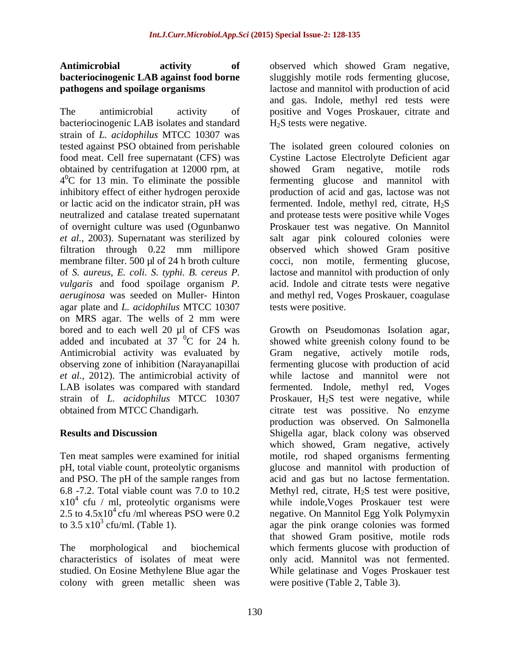The antimicrobial activity of positive and Voges Proskauer, citrate and bacteriocinogenic LAB isolates and standard strain of *L. acidophilus* MTCC 10307 was obtained by centrifugation at 12000 rpm, at showed Gram negative, motile rods agar plate and *L. acidophilus* MTCC 10307 on MRS agar. The wells of 2 mm were

pH, total viable count, proteolytic organisms  $x10^4$  cfu / ml, proteolytic organisms were<br>2.5 to 4.5x10<sup>4</sup> cfu /ml whereas PSO were 0.2

studied. On Eosine Methylene Blue agar the colony with green metallic sheen was

**Antimicrobial activity of** observed which showed Gram negative, **bacteriocinogenic LAB against food borne**  sluggishly motile rods fermenting glucose, **pathogens and spoilage organisms** lactose and mannitol with production of acid and gas. Indole, methyl red tests were  $H<sub>2</sub>S$  tests were negative.

tested against PSO obtained from perishable The isolated green coloured colonies on food meat. Cell free supernatant (CFS) was Cystine Lactose Electrolyte Deficient agar 4<sup>o</sup>C for 13 min. To eliminate the possible fermenting glucose and mannitol with inhibitory effect of either hydrogen peroxide production of acid and gas, lactose was not or lactic acid on the indicator strain, pH was fermented. Indole, methyl red, citrate, H2S neutralized and catalase treated supernatant and protease tests were positive while Voges of overnight culture was used (Ogunbanwo Proskauer test was negative. On Mannitol *et al.,* 2003). Supernatant was sterilized by salt agar pink coloured colonies were filtration through 0.22 mm millipore observed which showed Gram positive membrane filter. 500 µl of 24 h broth culture cocci, non motile, fermenting glucose, of *S. aureus*, *E. coli. S. typhi. B. cereus P.* lactose and mannitol with production of only *vulgaris* and food spoilage organism *P.*  acid. Indole and citrate tests were negative *aeruginosa* was seeded on Muller- Hinton and methyl red, Voges Proskauer, coagulase showed Gram negative, motile tests were positive.

bored and to each well 20 µl of CFS was Growth on Pseudomonas Isolation agar, added and incubated at  $37\text{ °C}$  for 24 h. showed white greenish colony found to be Antimicrobial activity was evaluated by Gram negative, actively motile rods, observing zone of inhibition (Narayanapillai fermenting glucose with production of acid *et al.,* 2012).The antimicrobial activity of while lactose and mannitol were not LAB isolates was compared with standard fermented. Indole, methyl red, Voges strain of *L. acidophilus* MTCC 10307 Proskauer, H2S test were negative, while obtained from MTCC Chandigarh. citrate test was possitive. No enzyme **Results and Discussion** Shigella agar, black colony was observed Ten meat samples were examined for initial motile, rod shaped organisms fermenting and PSO. The pH of the sample ranges from acid and gas but no lactose fermentation. 6.8 -7.2. Total viable count was 7.0 to 10.2 Methyl red, citrate,  $H_2S$  test were positive, cfu / ml, proteolytic organisms were while indole,Voges Proskauer test were 2.5 to  $4.5x10<sup>4</sup>$  cfu /ml whereas PSO were 0.2 negative. On Mannitol Egg Yolk Polymyxin to  $3.5 \times 10^3$  cfu/ml. (Table 1). agar the pink orange colonies was formed The morphological and biochemical which ferments glucose with production of characteristics of isolates of meat were only acid. Mannitol was not fermented. production was observed. On Salmonella which showed, Gram negative, actively glucose and mannitol with production of that showed Gram positive, motile rods While gelatinase and Voges Proskauer test were positive (Table 2, Table 3).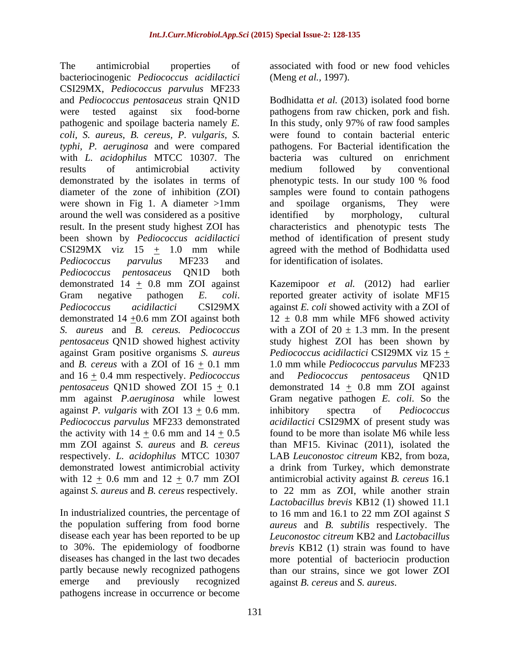The antimicrobial properties of associated with food or new food vehicles bacteriocinogenic *Pediococcus acidilactici* CSI29MX, *Pediococcus parvulus* MF233 with *L. acidophilus* MTCC 10307. The bacteria<br>results of antimicrobial activity medium demonstrated by the isolates in terms of phenotypic tests. In our study 100 % food were shown in Fig 1. A diameter >1mm and spoilage organisms. They were around the well was considered as a positive result. In the present study highest ZOI has  $CSI29MX$  viz  $15 + 1.0$  mm while *Pediococcus parvulus* MF233 and *Pediococcus pentosaceus* QN1D both *S. aureus* and *B. cereus. Pediococcus*  against Gram positive organisms *S. aureus* and 16 + 0.4 mm respectively. *Pediococcus*  against *P. vulgaris* with ZOI 13 + 0.6 mm. the activity with  $14 + 0.6$  mm and  $14 + 0.5$ mm ZOI against *S. aureus* and *B. cereus* with  $12 \pm 0.6$  mm and  $12 \pm 0.7$  mm ZOI

diseases has changed in the last two decades emerge and previously recognized against *B. cereus* and *S. aureus*. pathogens increase in occurrence or become

(Meng *et al.,* 1997).

and *Pediococcus pentosaceus* strain QN1D Bodhidatta *et al.* (2013) isolated food borne were tested against six food-borne pathogens from raw chicken, pork and fish. pathogenic and spoilage bacteria namely *E.*  In this study, only 97% of raw food samples *coli, S. aureus*, *B. cereus, P. vulgaris, S.* were found to contain bacterial enteric *typhi, P. aeruginosa* and were compared pathogens. For Bacterial identification the results of antimicrobial activity medium followed by conventional diameter of the zone of inhibition (ZOI) samples were found to contain pathogens been shown by *Pediococcus acidilactici* method of identification of present study was cultured on enrichment medium followed by conventional phenotypic tests. In our study 100 % food and spoilage organisms, They were identified by morphology, cultural characteristics and phenotypic tests The agreed with the method of Bodhidatta used for identification of isolates.

demonstrated 14 + 0.8 mm ZOI against Kazemipoor *et al.* (2012) had earlier Gram negative pathogen *E. coli*. reported greater activity of isolate MF15 *Pediococcus acidilactici* CSI29MX against *E. coli* showed activity with a ZOI of demonstrated 14  $\pm$ 0.6 mm ZOI against both  $12 \pm 0.8$  mm while MF6 showed activity *pentosaceus* QN1D showed highest activity study highest ZOI has been shown by and *B. cereus* with a ZOI of  $16 \pm 0.1$  mm  $1.0$  mm while *Pediococcus parvulus* MF233 *pentosaceus* QN1D showed ZOI 15  $\pm$  0.1 demonstrated 14  $\pm$  0.8 mm ZOI against mm against *P.aeruginosa* while lowest Gram negative pathogen *E. coli*. So the *Pediococcus parvulus* MF233 demonstrated *acidilactici* CSI29MX of present study was respectively. *L. acidophilus* MTCC 10307 LAB *Leuconostoc citreum* KB2, from boza, demonstrated lowest antimicrobial activity a drink from Turkey, which demonstrate against *S. aureus* and *B. cereus* respectively. to 22 mm as ZOI, while another strain In industrialized countries, the percentage of to 16 mm and 16.1 to 22 mm ZOI against *S*  the population suffering from food borne *aureus* and *B. subtilis* respectively. The disease each year has been reported to be up *Leuconostoc citreum* KB2 and *Lactobacillus*  to 30%. The epidemiology of foodborne *brevis* KB12 (1) strain was found to have partly because newly recognized pathogens than our strains, since wegot lower ZOI with a ZOI of  $20 \pm 1.3$  mm. In the present *Pediococcus acidilactici* CSI29MX viz 15 + and *Pediococcus pentosaceus* QN1D inhibitory spectra of *Pediococcus*  found to be more than isolate M6 while less than MF15. Kivinac (2011), isolated the antimicrobial activity against *B. cereus* 16.1 *Lactobacillus brevis* KB12 (1) showed 11.1 more potential of bacteriocin production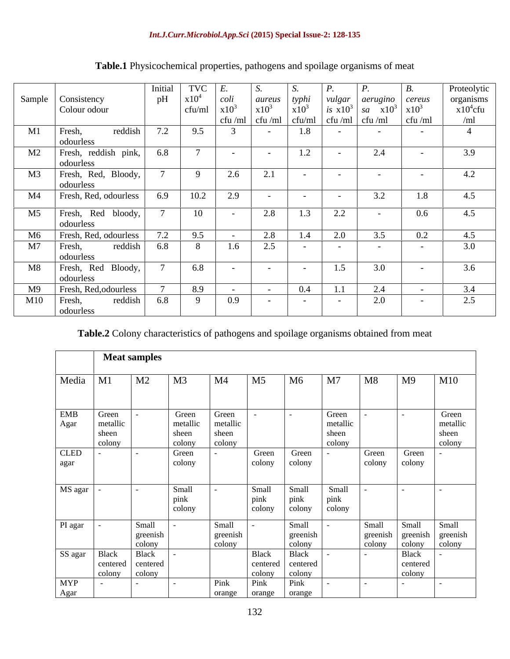|                |                            | Initial | TVC                  |                 |         |                                                                                                                                            |          |                                             |                  | Proteolytic |
|----------------|----------------------------|---------|----------------------|-----------------|---------|--------------------------------------------------------------------------------------------------------------------------------------------|----------|---------------------------------------------|------------------|-------------|
|                | Sample   Consistency       | pH      | $\frac{1}{1}$ x10    | $ ~\text{coli}$ | aureus  | typhi<br>$x10^3$                                                                                                                           |          | vulgar   aerugino                           | cereus           | organisms   |
|                | Colour odour               |         | cfu/ml $\times 10^3$ |                 | $x10^3$ |                                                                                                                                            |          | <i>is</i> $x10^3$ <i>sa</i> $x10^3$ $x10^3$ |                  | $x10^4$ cfu |
|                |                            |         |                      |                 |         | $\left  \int_{0}^{\pi}$ cfu /ml $\left  \int_{0}^{\pi}$ cfu /ml $\int_{0}^{\pi}$ cfu /ml $\left  \int_{0}^{\pi}$ cfu /ml $\right $ cfu /ml |          |                                             | cfu/ml           | /ml         |
| M1             | Fresh,<br>reddish          | 7.2     | 9.5                  |                 | $\sim$  | 1.8                                                                                                                                        | $-$      | $\sim$ $\sim$                               | <b>Service</b>   |             |
|                | odourless                  |         |                      |                 |         |                                                                                                                                            |          |                                             |                  |             |
| M <sub>2</sub> | Fresh, reddish pink,       | 6.8     |                      | $\sim$          |         | 1.2                                                                                                                                        |          | 2.4                                         |                  | 3.9         |
|                | odourless                  |         |                      |                 |         |                                                                                                                                            |          |                                             |                  |             |
| M3             | Fresh, Red, Bloody,        |         |                      | 2.6             | 2.1     | $\sim$                                                                                                                                     | $\sim$   |                                             | $\sim$           | 4.2         |
|                | odourless                  |         |                      |                 |         |                                                                                                                                            |          |                                             |                  |             |
| M4             | Fresh, Red, odourless      | 6.9     | 10.2                 | 2.9             |         | $\sim$                                                                                                                                     | $\sim$   | 3.2                                         | 1.8              | 4.5         |
|                | M5   Fresh, Red bloody,    |         | 10                   |                 | 2.8     | 1.3                                                                                                                                        | $\Omega$ |                                             | 0.6 <sub>0</sub> | 4.5         |
|                | odourless                  |         |                      |                 |         |                                                                                                                                            |          |                                             |                  |             |
|                | M6   Fresh, Red, odourless | 7.2     | 9.5                  |                 | 2.8     | 1.4                                                                                                                                        | 2.0      | 3.5                                         | 0.2              | 4.5         |
|                |                            |         |                      |                 |         |                                                                                                                                            |          |                                             |                  |             |
| M <sub>7</sub> | Fresh,<br>reddish          | 6.8     | 8                    | 1.6             | 2.5     | $\sim$                                                                                                                                     | $\sim$   | $\sim$                                      | $\sim$           | 3.0         |
|                | odourless                  |         |                      |                 |         |                                                                                                                                            |          |                                             |                  |             |
| M8             | Fresh, Red Bloody,         |         | 6.8                  |                 |         | $\sim$                                                                                                                                     | 1.5      | 3.0                                         |                  | 3.6         |
|                | odourless                  |         |                      |                 |         |                                                                                                                                            |          |                                             |                  |             |
| M9             | Fresh, Red, odourless      |         | 8.9                  |                 |         | 0.4                                                                                                                                        |          | 2.4                                         |                  | 3.4         |
| M10            | Fresh,<br>reddish          | 6.8     |                      | 0.9             |         | $\sim$                                                                                                                                     | $\sim$   | 2.0                                         |                  | 2.5         |
|                | odourless                  |         |                      |                 |         |                                                                                                                                            |          |                                             |                  |             |

## **Table.1** Physicochemical properties, pathogens and spoilage organisms of meat

**Table.2** Colony characteristics of pathogens and spoilage organisms obtained from meat

|                       |                                      | <b>Meat samples</b>                   |                                      |                                      |                                            |                                     |                                      |                             |                                    |                                      |
|-----------------------|--------------------------------------|---------------------------------------|--------------------------------------|--------------------------------------|--------------------------------------------|-------------------------------------|--------------------------------------|-----------------------------|------------------------------------|--------------------------------------|
| Media                 | M1                                   | M <sub>2</sub>                        | M <sub>3</sub>                       | M <sub>4</sub>                       | M <sub>5</sub>                             | M6                                  | M <sub>7</sub>                       | M <sub>8</sub>              | M <sub>9</sub>                     | M10                                  |
| <b>EMB</b><br>Agar    | Green<br>metallic<br>sheen<br>colony |                                       | Green<br>metallic<br>sheen<br>colony | Green<br>metallic<br>sheen<br>colony |                                            | $\sim 100$                          | Green<br>metallic<br>sheen<br>colony |                             |                                    | Green<br>metallic<br>sheen<br>colony |
| <b>CLED</b><br>agar   |                                      |                                       | Green<br>colony                      |                                      | Green<br>colony                            | Green<br>colony                     |                                      | Green<br>colony             | Green<br>colony                    |                                      |
| MS agar               |                                      |                                       | Small<br>pink<br>colony              |                                      | Small<br>pink<br>colony                    | Small<br>pink<br>colony             | Small<br>pink<br>colony              |                             |                                    | <b>CONTRACTOR</b>                    |
| PI agar               |                                      | Small<br>greenish<br>colony           |                                      | Small<br>greenish<br>colony          |                                            | Small<br>greenish<br>colony         |                                      | Small<br>greenish<br>colony | Small<br>greenish<br>colony        | Small<br>greenish<br>colony          |
| SS agar<br><b>MYP</b> | Black<br>centered<br>colony          | Black<br>centered<br>colony<br>$\sim$ | $\sim$                               | Pink                                 | <b>Black</b><br>centered<br>colony<br>Pink | Black<br>centered<br>colony<br>Pink |                                      |                             | <b>Black</b><br>centered<br>colony | $\overline{\phantom{0}}$             |
| Agar                  |                                      |                                       |                                      | orange                               | orange                                     | orange                              |                                      |                             |                                    |                                      |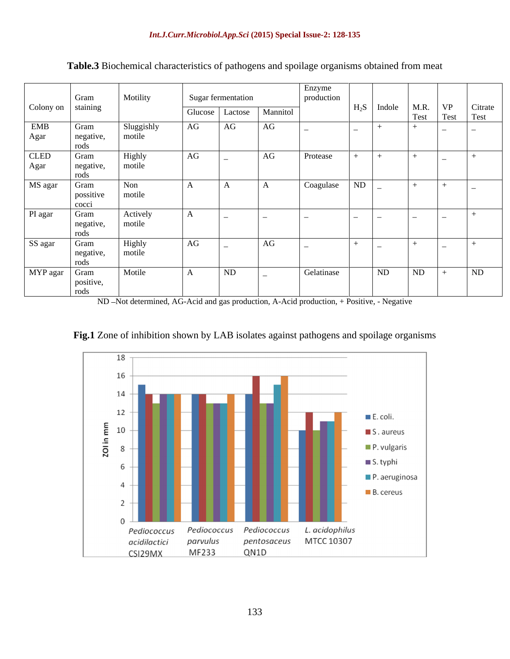| $\Big $ Colony on $\Big $ Gram<br>Gram<br>negative<br>rods | Motility<br>Sluggishly<br>motile |    | Sugar fermentation<br>  Glucose   Lactose   Mannitol |              | Enzyme<br>production | $H_2S$ Indole   M.R.   VP   Citrate |    |                |    |
|------------------------------------------------------------|----------------------------------|----|------------------------------------------------------|--------------|----------------------|-------------------------------------|----|----------------|----|
| EMB<br>Agar                                                |                                  |    |                                                      |              |                      |                                     |    |                |    |
|                                                            |                                  |    |                                                      |              |                      |                                     |    |                |    |
|                                                            |                                  |    |                                                      |              |                      |                                     |    |                |    |
|                                                            |                                  |    |                                                      |              |                      |                                     |    | Test Test Test |    |
|                                                            |                                  |    |                                                      |              |                      |                                     |    |                |    |
|                                                            |                                  | AG | AG                                                   | AG           |                      |                                     |    | $\sim$ $\sim$  |    |
|                                                            |                                  |    |                                                      |              |                      |                                     |    |                |    |
|                                                            |                                  |    |                                                      |              |                      |                                     |    |                |    |
| <b>CLED</b><br>Gram                                        |                                  | AG |                                                      | AG           | Protease             |                                     |    |                |    |
|                                                            | Highly<br>motile                 |    |                                                      |              |                      |                                     |    |                |    |
| Agar<br>negative,                                          |                                  |    |                                                      |              |                      |                                     |    |                |    |
| rods                                                       |                                  |    |                                                      |              |                      |                                     |    |                |    |
| MS agar<br>Gram                                            | Non                              |    | $\mathbf{A}$                                         | $\mathbf{A}$ | Coagulase            | ND                                  |    |                |    |
| possitive                                                  | motile                           |    |                                                      |              |                      |                                     |    |                |    |
| cocci                                                      |                                  |    |                                                      |              |                      |                                     |    |                |    |
|                                                            |                                  |    |                                                      |              |                      |                                     |    |                |    |
| PI agar<br>Gram                                            | Actively                         |    |                                                      |              |                      |                                     |    |                |    |
| negative                                                   | motile                           |    |                                                      |              |                      |                                     |    |                |    |
| rods                                                       |                                  |    |                                                      |              |                      |                                     |    |                |    |
| Gram<br>SS agar                                            | Highly                           | AG |                                                      | AG           |                      |                                     |    |                |    |
| negative                                                   | motile                           |    |                                                      |              |                      |                                     |    |                |    |
|                                                            |                                  |    |                                                      |              |                      |                                     |    |                |    |
| rods                                                       |                                  |    |                                                      |              |                      |                                     |    |                |    |
| MYP agar Gram                                              | Motile                           |    | ND                                                   |              | Gelatinase           | ND                                  | ND | $+$            | ND |
| positive,                                                  |                                  |    |                                                      |              |                      |                                     |    |                |    |
| rods                                                       |                                  |    |                                                      |              |                      |                                     |    |                |    |

**Table.3** Biochemical characteristics of pathogens and spoilage organisms obtained from meat

ND -Not determined, AG-Acid and gas production, A-Acid production, + Positive, - Negative



**Fig.1** Zone of inhibition shown by LAB isolates against pathogens and spoilage organisms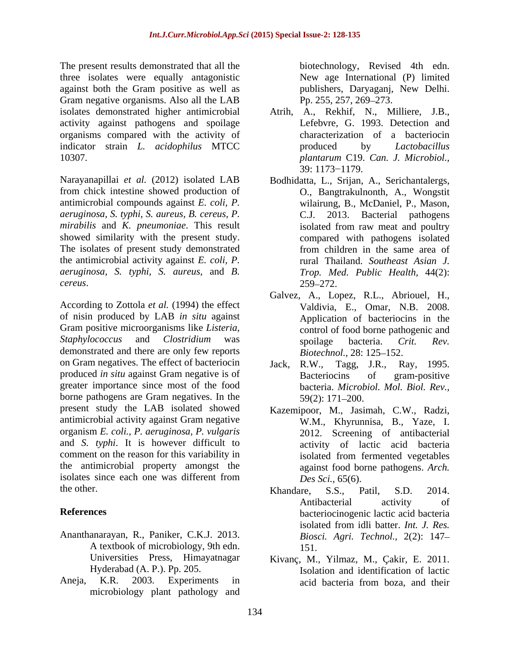The present results demonstrated that all the three isolates were equally antagonistic against both the Gram positive as well as Gram negative organisms. Also all the LAB Pp. 255, 257, 269–273. isolates demonstrated higher antimicrobial Atrih, A., Rekhif, N., Milliere, J.B., activity against pathogens and spoilage organisms compared with the activity of indicator strain *L. acidophilus* MTCC 10307. *plantarum* C19. *Can. J. Microbiol.,*

Narayanapillai *et al.* (2012) isolated LAB from chick intestine showed production of antimicrobial compounds against *E. coli, P. aeruginosa, S. typhi, S. aureus, B. cereus, P. mirabilis* and *K. pneumoniae*. This result showed similarity with the present study. The isolates of present study demonstrated from children in the same area of the antimicrobial activity against *E. coli, P. aeruginosa, S. typhi, S. aureus,* and *B.* 

According to Zottola *et al.* (1994) the effect of nisin produced by LAB *in situ* against Gram positive microorganisms like *Listeria, Staphylococcus* and *Clostridium* was demonstrated and there are only few reports Biotechnol., 28: 125–152. on Gram negatives. The effect of bacteriocin Jack, R.W., Tagg, J.R., Ray, 1995. produced *in situ* against Gram negative is of Bacteriocins of gram-positive greater importance since most of the food borne pathogens are Gram negatives. In the  $59(2)$ : 171–200. present study the LAB isolated showed Kazemipoor, M., Jasimah, C.W., Radzi, antimicrobial activity against Gram negative organism *E. coli., P. aeruginosa, P. vulgaris* and *S. typhi*. It is however difficult to comment on the reason for this variability in isolated from fermented vegetables the antimicrobial property amongst the isolates since each one was different from  $Des\, Sci.,\, 65(6).$ the other. S.S., Patil. S.D. 2014.

- Ananthanarayan, R., Paniker, C.K.J. 2013. A textbook of microbiology, 9th edn. 151.
- Aneja, K.R. 2003. Experiments in microbiology plant pathology and

biotechnology, Revised 4th edn. New age International (P) limited publishers, Daryaganj, New Delhi. Pp. 255, 257, 269–273.

- Lefebvre, G. 1993. Detection and characterization of a bacteriocin produced by *Lactobacillus*  39: 1173–1179.
- *cereus*. Bodhidatta, L., Srijan, A., Serichantalergs, O., Bangtrakulnonth, A., Wongstit wilairung, B., McDaniel, P., Mason, 2013. Bacterial pathogens isolated from raw meat and poultry compared with pathogens isolated from children in the same area of rural Thailand. *Southeast Asian J. Trop. Med. Public Health,* 44(2): 259 272.
	- Galvez, A., Lopez, R.L., Abriouel, H., Valdivia, E., Omar, N.B. 2008. Application of bacteriocins in the control of food borne pathogenic and spoilage bacteria. *Crit. Rev. Biotechnol.,* 28: 125–152.
	- $R.W., \quad Tagg, \quad J.R.,$ Bacteriocins of gram-positive bacteria. *Microbiol. Mol. Biol. Rev.,* 59(2): 171 200.
	- W.M., Khyrunnisa, B., Yaze, I. 2012. Screening of antibacterial activity of lactic acid bacteria isolated from fermented vegetables against food borne pathogens. *Arch. Des Sci.,* 65(6).
- **References** bacteriocinogenic lactic acid bacteria Khandare, S.S., Patil, S.D. 2014. Antibacterial activity of isolated from idli batter. *Int. J. Res. Biosci. Agri. Technol.,* 2(2): 147 151.
	- Universities Press, Himayatnagar Kivanç, M., Yilmaz, M., Çakir, E. 2011. Hyderabad (A. P.). Pp. 205. Isolation and identification of lactic acid bacteria from boza, and their